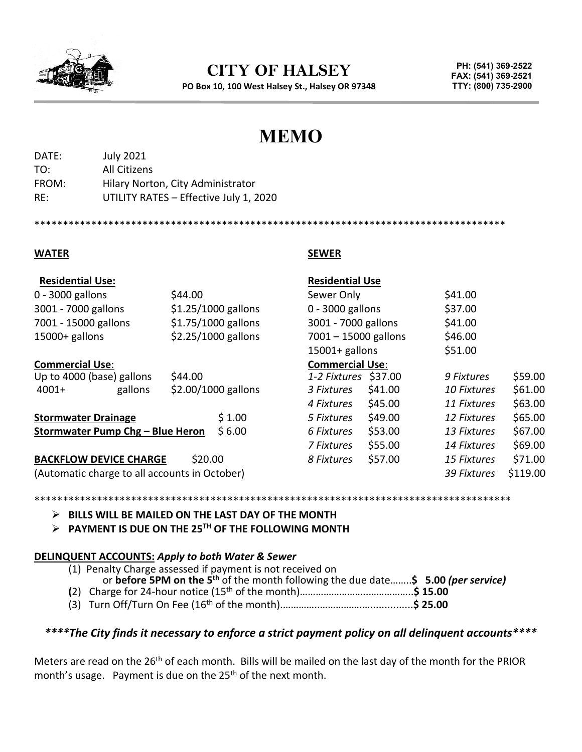

**CITY OF HALSEY**

**PO Box 10, 100 West Halsey St., Halsey OR 97348**

**PH: (541) 369-2522 FAX: (541) 369-2521 TTY: (800) 735-2900**

# **MEMO**

| <b>July 2021</b>                       |
|----------------------------------------|
| All Citizens                           |
| Hilary Norton, City Administrator      |
| UTILITY RATES - Effective July 1, 2020 |
|                                        |

\*\*\*\*\*\*\*\*\*\*\*\*\*\*\*\*\*\*\*\*\*\*\*\*\*\*\*\*\*\*\*\*\*\*\*\*\*\*\*\*\*\*\*\*\*\*\*\*\*\*\*\*\*\*\*\*\*\*\*\*\*\*\*\*\*\*\*\*\*\*\*\*\*\*\*\*\*\*\*\*\*\*\*

#### **WATER SEWER**

| <b>Residential Use:</b>                       |                     | <b>Residential Use</b> |                    |          |
|-----------------------------------------------|---------------------|------------------------|--------------------|----------|
| $0 - 3000$ gallons                            | \$44.00             | Sewer Only             | \$41.00            |          |
| 3001 - 7000 gallons                           | \$1.25/1000 gallons | $0 - 3000$ gallons     | \$37.00            |          |
| 7001 - 15000 gallons                          | \$1.75/1000 gallons | 3001 - 7000 gallons    | \$41.00            |          |
| $15000+$ gallons                              | \$2.25/1000 gallons | $7001 - 15000$ gallons | \$46.00            |          |
|                                               |                     | $15001 +$ gallons      | \$51.00            |          |
| <b>Commercial Use:</b>                        |                     | <b>Commercial Use:</b> |                    |          |
| Up to 4000 (base) gallons                     | \$44.00             | 1-2 Fixtures \$37.00   | 9 Fixtures         | \$59.00  |
| gallons<br>$4001+$                            | \$2.00/1000 gallons | \$41.00<br>3 Fixtures  | <b>10 Fixtures</b> | \$61.00  |
|                                               |                     | \$45.00<br>4 Fixtures  | 11 Fixtures        | \$63.00  |
| <b>Stormwater Drainage</b>                    | \$1.00              | \$49.00<br>5 Fixtures  | 12 Fixtures        | \$65.00  |
| Stormwater Pump Chg - Blue Heron<br>\$6.00    |                     | \$53.00<br>6 Fixtures  | 13 Fixtures        | \$67.00  |
|                                               |                     | \$55.00<br>7 Fixtures  | 14 Fixtures        | \$69.00  |
| <b>BACKFLOW DEVICE CHARGE</b>                 | \$20.00             | \$57.00<br>8 Fixtures  | 15 Fixtures        | \$71.00  |
| (Automatic charge to all accounts in October) |                     |                        | 39 Fixtures        | \$119.00 |

#### \*\*\*\*\*\*\*\*\*\*\*\*\*\*\*\*\*\*\*\*\*\*\*\*\*\*\*\*\*\*\*\*\*\*\*\*\*\*

**BILLS WILL BE MAILED ON THE LAST DAY OF THE MONTH**

**PAYMENT IS DUE ON THE 25TH OF THE FOLLOWING MONTH**

#### **DELINQUENT ACCOUNTS:** *Apply to both Water & Sewer*

| (1) Penalty Charge assessed if payment is not received on                                     |  |
|-----------------------------------------------------------------------------------------------|--|
| or before 5PM on the 5 <sup>th</sup> of the month following the due date\$ 5.00 (per service) |  |
|                                                                                               |  |

(3) Turn Off/Turn On Fee (16th of the month).…………..…………….…...............**\$ 25.00**

# *\*\*\*\*The City finds it necessary to enforce a strict payment policy on all delinquent accounts\*\*\*\**

Meters are read on the 26<sup>th</sup> of each month. Bills will be mailed on the last day of the month for the PRIOR month's usage. Payment is due on the 25<sup>th</sup> of the next month.